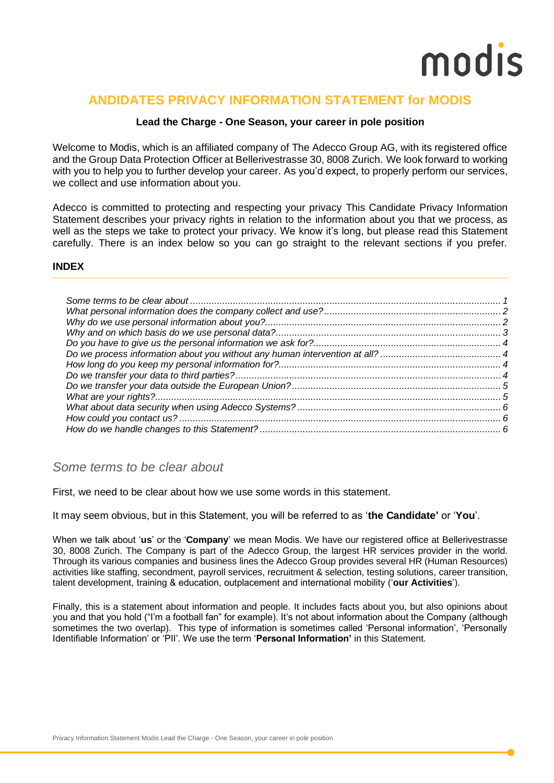## **ANDIDATES PRIVACY INFORMATION STATEMENT for MODIS**

### **Lead the Charge - One Season, your career in pole position**

Welcome to Modis, which is an affiliated company of The Adecco Group AG, with its registered office and the Group Data Protection Officer at Bellerivestrasse 30, 8008 Zurich. We look forward to working with you to help you to further develop your career. As you'd expect, to properly perform our services, we collect and use information about you.

Adecco is committed to protecting and respecting your privacy This Candidate Privacy Information Statement describes your privacy rights in relation to the information about you that we process, as well as the steps we take to protect your privacy. We know it's long, but please read this Statement carefully. There is an index below so you can go straight to the relevant sections if you prefer.

### **INDEX**

### <span id="page-0-0"></span>*Some terms to be clear about*

First, we need to be clear about how we use some words in this statement.

It may seem obvious, but in this Statement, you will be referred to as '**the Candidate'** or '**You**'.

When we talk about '**us**' or the '**Company**' we mean Modis. We have our registered office at Bellerivestrasse 30, 8008 Zurich. The Company is part of the Adecco Group, the largest HR services provider in the world. Through its various companies and business lines the Adecco Group provides several HR (Human Resources) activities like staffing, secondment, payroll services, recruitment & selection, testing solutions, career transition, talent development, training & education, outplacement and international mobility ('**our Activities**').

Finally, this is a statement about information and people. It includes facts about you, but also opinions about you and that you hold ("I'm a football fan" for example). It's not about information about the Company (although sometimes the two overlap). This type of information is sometimes called 'Personal information', 'Personally Identifiable Information' or 'PII'. We use the term '**Personal Information'** in this Statement.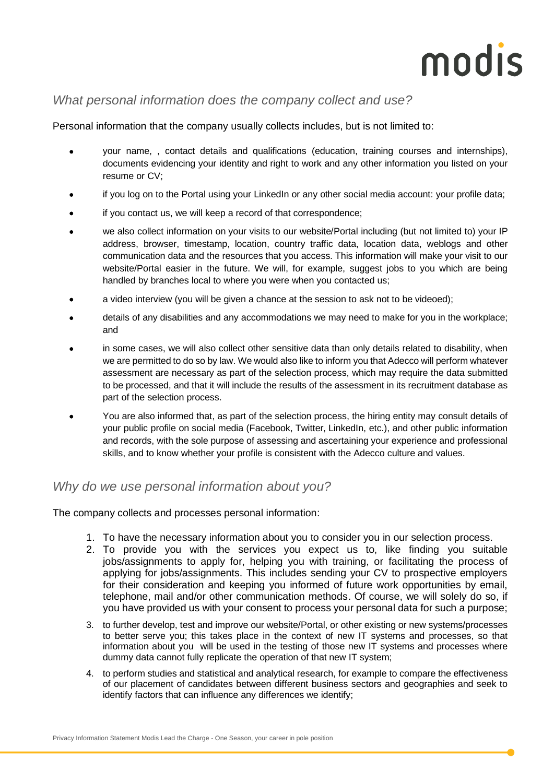## <span id="page-1-0"></span>*What personal information does the company collect and use?*

Personal information that the company usually collects includes, but is not limited to:

- your name, , contact details and qualifications (education, training courses and internships), documents evidencing your identity and right to work and any other information you listed on your resume or CV;
- if you log on to the Portal using your LinkedIn or any other social media account: your profile data;
- if you contact us, we will keep a record of that correspondence;
- we also collect information on your visits to our website/Portal including (but not limited to) your IP address, browser, timestamp, location, country traffic data, location data, weblogs and other communication data and the resources that you access. This information will make your visit to our website/Portal easier in the future. We will, for example, suggest jobs to you which are being handled by branches local to where you were when you contacted us;
- a video interview (you will be given a chance at the session to ask not to be videoed);
- details of any disabilities and any accommodations we may need to make for you in the workplace; and
- in some cases, we will also collect other sensitive data than only details related to disability, when we are permitted to do so by law. We would also like to inform you that Adecco will perform whatever assessment are necessary as part of the selection process, which may require the data submitted to be processed, and that it will include the results of the assessment in its recruitment database as part of the selection process.
- You are also informed that, as part of the selection process, the hiring entity may consult details of your public profile on social media (Facebook, Twitter, LinkedIn, etc.), and other public information and records, with the sole purpose of assessing and ascertaining your experience and professional skills, and to know whether your profile is consistent with the Adecco culture and values.

## <span id="page-1-1"></span>*Why do we use personal information about you?*

The company collects and processes personal information:

- 1. To have the necessary information about you to consider you in our selection process.
- 2. To provide you with the services you expect us to, like finding you suitable jobs/assignments to apply for, helping you with training, or facilitating the process of applying for jobs/assignments. This includes sending your CV to prospective employers for their consideration and keeping you informed of future work opportunities by email, telephone, mail and/or other communication methods. Of course, we will solely do so, if you have provided us with your consent to process your personal data for such a purpose;
- 3. to further develop, test and improve our website/Portal, or other existing or new systems/processes to better serve you; this takes place in the context of new IT systems and processes, so that information about you will be used in the testing of those new IT systems and processes where dummy data cannot fully replicate the operation of that new IT system;
- 4. to perform studies and statistical and analytical research, for example to compare the effectiveness of our placement of candidates between different business sectors and geographies and seek to identify factors that can influence any differences we identify;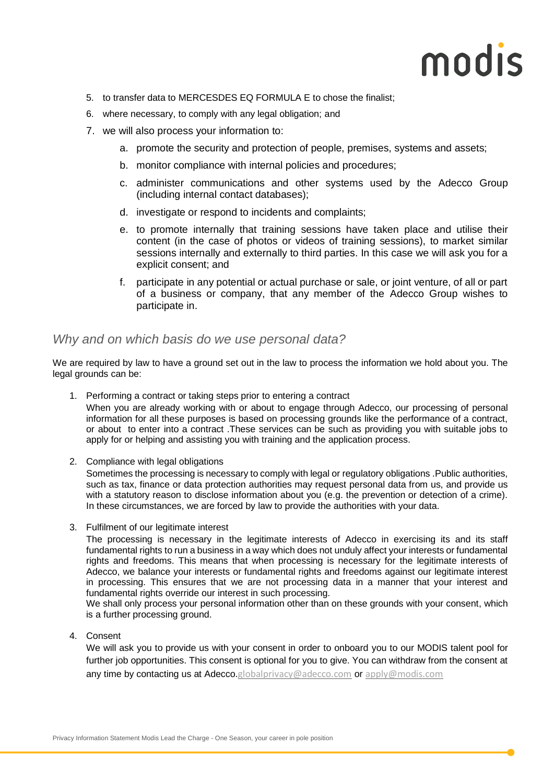- 5. to transfer data to MERCESDES EQ FORMULA E to chose the finalist;
- 6. where necessary, to comply with any legal obligation; and
- 7. we will also process your information to:
	- a. promote the security and protection of people, premises, systems and assets;
	- b. monitor compliance with internal policies and procedures;
	- c. administer communications and other systems used by the Adecco Group (including internal contact databases);
	- d. investigate or respond to incidents and complaints;
	- e. to promote internally that training sessions have taken place and utilise their content (in the case of photos or videos of training sessions), to market similar sessions internally and externally to third parties. In this case we will ask you for a explicit consent; and
	- f. participate in any potential or actual purchase or sale, or joint venture, of all or part of a business or company, that any member of the Adecco Group wishes to participate in.

### <span id="page-2-0"></span>*Why and on which basis do we use personal data?*

We are required by law to have a ground set out in the law to process the information we hold about you. The legal grounds can be:

1. Performing a contract or taking steps prior to entering a contract

When you are already working with or about to engage through Adecco, our processing of personal information for all these purposes is based on processing grounds like the performance of a contract, or about to enter into a contract .These services can be such as providing you with suitable jobs to apply for or helping and assisting you with training and the application process.

2. Compliance with legal obligations

Sometimes the processing is necessary to comply with legal or regulatory obligations .Public authorities, such as tax, finance or data protection authorities may request personal data from us, and provide us with a statutory reason to disclose information about you (e.g. the prevention or detection of a crime). In these circumstances, we are forced by law to provide the authorities with your data.

3. Fulfilment of our legitimate interest

The processing is necessary in the legitimate interests of Adecco in exercising its and its staff fundamental rights to run a business in a way which does not unduly affect your interests or fundamental rights and freedoms. This means that when processing is necessary for the legitimate interests of Adecco, we balance your interests or fundamental rights and freedoms against our legitimate interest in processing. This ensures that we are not processing data in a manner that your interest and fundamental rights override our interest in such processing.

We shall only process your personal information other than on these grounds with your consent, which is a further processing ground.

4. Consent

We will ask you to provide us with your consent in order to onboard you to our MODIS talent pool for further job opportunities. This consent is optional for you to give. You can withdraw from the consent at any time by contacting us at Adecco.[globalprivacy@adecco.com](mailto:globalprivacy@adecco.com) or [apply@modis.com](mailto:apply@modis.com)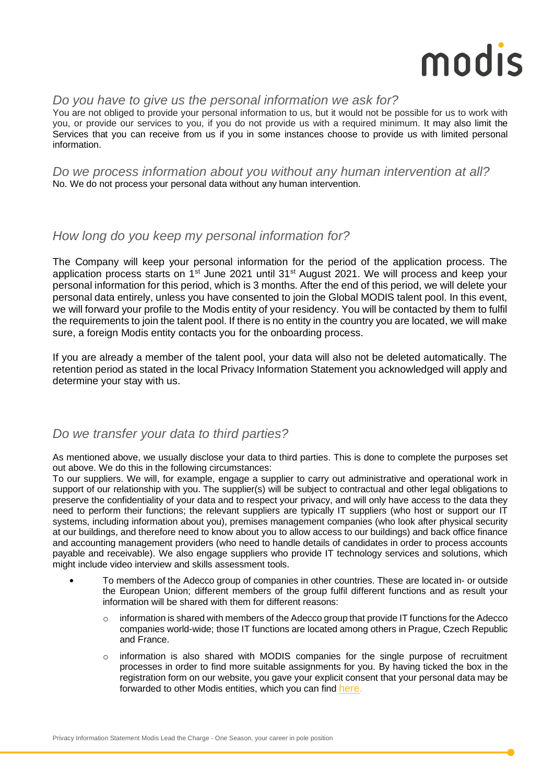## <span id="page-3-0"></span>*Do you have to give us the personal information we ask for?*

You are not obliged to provide your personal information to us, but it would not be possible for us to work with you, or provide our services to you, if you do not provide us with a required minimum. It may also limit the Services that you can receive from us if you in some instances choose to provide us with limited personal information.

<span id="page-3-1"></span>*Do we process information about you without any human intervention at all?* No. We do not process your personal data without any human intervention.

## <span id="page-3-2"></span>*How long do you keep my personal information for?*

The Company will keep your personal information for the period of the application process. The application process starts on 1<sup>st</sup> June 2021 until 31<sup>st</sup> August 2021. We will process and keep your personal information for this period, which is 3 months. After the end of this period, we will delete your personal data entirely, unless you have consented to join the Global MODIS talent pool. In this event, we will forward your profile to the Modis entity of your residency. You will be contacted by them to fulfil the requirements to join the talent pool. If there is no entity in the country you are located, we will make sure, a foreign Modis entity contacts you for the onboarding process.

If you are already a member of the talent pool, your data will also not be deleted automatically. The retention period as stated in the local Privacy Information Statement you acknowledged will apply and determine your stay with us.

## <span id="page-3-3"></span>*Do we transfer your data to third parties?*

As mentioned above, we usually disclose your data to third parties. This is done to complete the purposes set out above. We do this in the following circumstances:

To our suppliers. We will, for example, engage a supplier to carry out administrative and operational work in support of our relationship with you. The supplier(s) will be subject to contractual and other legal obligations to preserve the confidentiality of your data and to respect your privacy, and will only have access to the data they need to perform their functions; the relevant suppliers are typically IT suppliers (who host or support our IT systems, including information about you), premises management companies (who look after physical security at our buildings, and therefore need to know about you to allow access to our buildings) and back office finance and accounting management providers (who need to handle details of candidates in order to process accounts payable and receivable). We also engage suppliers who provide IT technology services and solutions, which might include video interview and skills assessment tools.

- **•** To members of the Adecco group of companies in other countries. These are located in- or outside the European Union; different members of the group fulfil different functions and as result your information will be shared with them for different reasons:
	- information is shared with members of the Adecco group that provide IT functions for the Adecco companies world-wide; those IT functions are located among others in Prague, Czech Republic and France.
	- o information is also shared with MODIS companies for the single purpose of recruitment processes in order to find more suitable assignments for you. By having ticked the box in the registration form on our website, you gave your explicit consent that your personal data may be forwarded to other Modis entities, which you can find [here](https://www.adeccogroup.com/euro-data-privacy/).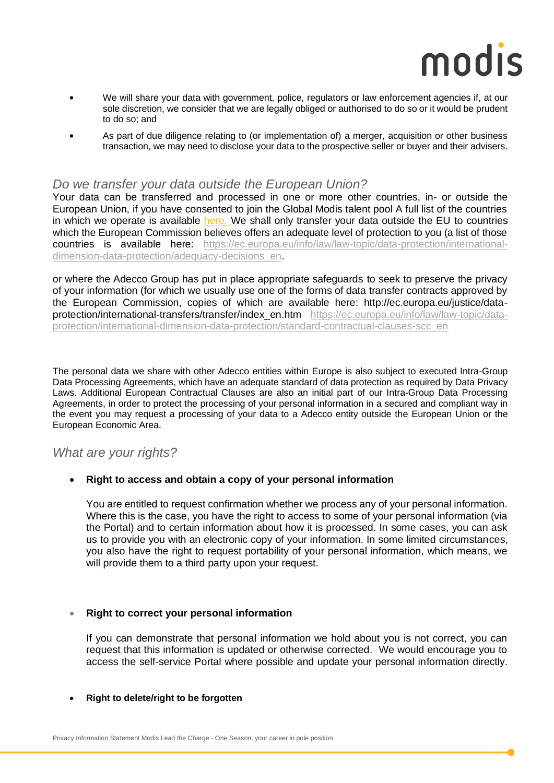- **•** We will share your data with government, police, regulators or law enforcement agencies if, at our sole discretion, we consider that we are legally obliged or authorised to do so or it would be prudent to do so; and
- **•** As part of due diligence relating to (or implementation of) a merger, acquisition or other business transaction, we may need to disclose your data to the prospective seller or buyer and their advisers.

### <span id="page-4-0"></span>*Do we transfer your data outside the European Union?*

Your data can be transferred and processed in one or more other countries, in- or outside the European Union, if you have consented to join the Global Modis talent pool A full list of the countries in which we operate is available [here.](http://here/) We shall only transfer your data outside the EU to countries which the European Commission believes offers an adequate level of protection to you (a list of those countries is available here: [https://ec.europa.eu/info/law/law-topic/data-protection/international](https://ec.europa.eu/info/law/law-topic/data-protection/international-dimension-data-protection/adequacy-decisions_en)[dimension-data-protection/adequacy-decisions\\_en.](https://ec.europa.eu/info/law/law-topic/data-protection/international-dimension-data-protection/adequacy-decisions_en)

or where the Adecco Group has put in place appropriate safeguards to seek to preserve the privacy of your information (for which we usually use one of the forms of data transfer contracts approved by the European Commission, copies of which are available here: http://ec.europa.eu/justice/dataprotection/international-transfers/transfer/index\_en.htm [https://ec.europa.eu/info/law/law-topic/data](https://ec.europa.eu/info/law/law-topic/data-protection/international-dimension-data-protection/standard-contractual-clauses-scc_en)[protection/international-dimension-data-protection/standard-contractual-clauses-scc\\_en](https://ec.europa.eu/info/law/law-topic/data-protection/international-dimension-data-protection/standard-contractual-clauses-scc_en)

The personal data we share with other Adecco entities within Europe is also subject to executed Intra-Group Data Processing Agreements, which have an adequate standard of data protection as required by Data Privacy Laws. Additional European Contractual Clauses are also an initial part of our Intra-Group Data Processing Agreements, in order to protect the processing of your personal information in a secured and compliant way in the event you may request a processing of your data to a Adecco entity outside the European Union or the European Economic Area.

## <span id="page-4-1"></span>*What are your rights?*

### • **Right to access and obtain a copy of your personal information**

You are entitled to request confirmation whether we process any of your personal information. Where this is the case, you have the right to access to some of your personal information (via the Portal) and to certain information about how it is processed. In some cases, you can ask us to provide you with an electronic copy of your information. In some limited circumstances, you also have the right to request portability of your personal information, which means, we will provide them to a third party upon your request.

### • **Right to correct your personal information**

If you can demonstrate that personal information we hold about you is not correct, you can request that this information is updated or otherwise corrected. We would encourage you to access the self-service Portal where possible and update your personal information directly.

#### • **Right to delete/right to be forgotten**